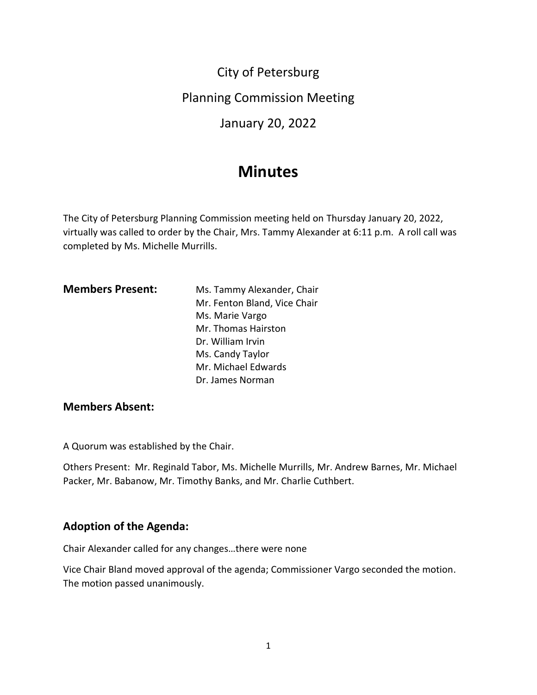City of Petersburg

Planning Commission Meeting

January 20, 2022

# **Minutes**

The City of Petersburg Planning Commission meeting held on Thursday January 20, 2022, virtually was called to order by the Chair, Mrs. Tammy Alexander at 6:11 p.m. A roll call was completed by Ms. Michelle Murrills.

| <b>Members Present:</b> | Ms. Tammy Alexander, Chair   |
|-------------------------|------------------------------|
|                         | Mr. Fenton Bland, Vice Chair |
|                         | Ms. Marie Vargo              |
|                         | Mr. Thomas Hairston          |
|                         | Dr. William Irvin            |
|                         | Ms. Candy Taylor             |
|                         | Mr. Michael Edwards          |
|                         | Dr. James Norman             |

# **Members Absent:**

A Quorum was established by the Chair.

Others Present: Mr. Reginald Tabor, Ms. Michelle Murrills, Mr. Andrew Barnes, Mr. Michael Packer, Mr. Babanow, Mr. Timothy Banks, and Mr. Charlie Cuthbert.

# **Adoption of the Agenda:**

Chair Alexander called for any changes…there were none

Vice Chair Bland moved approval of the agenda; Commissioner Vargo seconded the motion. The motion passed unanimously.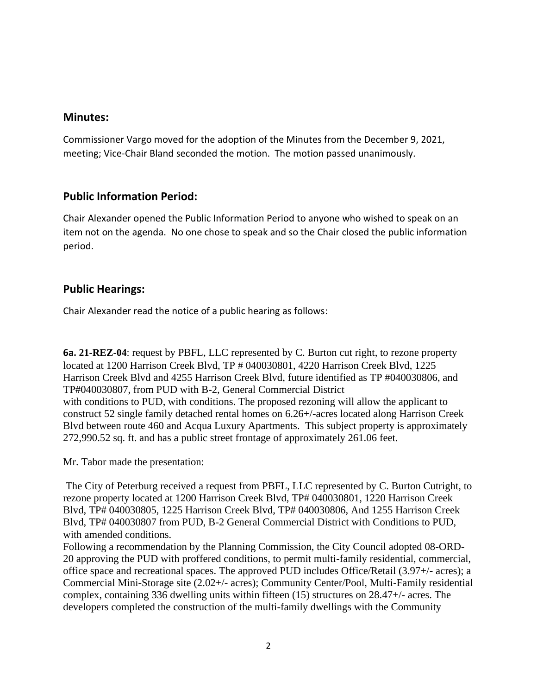## **Minutes:**

Commissioner Vargo moved for the adoption of the Minutes from the December 9, 2021, meeting; Vice-Chair Bland seconded the motion. The motion passed unanimously.

# **Public Information Period:**

Chair Alexander opened the Public Information Period to anyone who wished to speak on an item not on the agenda. No one chose to speak and so the Chair closed the public information period.

# **Public Hearings:**

Chair Alexander read the notice of a public hearing as follows:

**6a. 21-REZ-04**: request by PBFL, LLC represented by C. Burton cut right, to rezone property located at 1200 Harrison Creek Blvd, TP # 040030801, 4220 Harrison Creek Blvd, 1225 Harrison Creek Blvd and 4255 Harrison Creek Blvd, future identified as TP #040030806, and TP#040030807, from PUD with B-2, General Commercial District with conditions to PUD, with conditions. The proposed rezoning will allow the applicant to construct 52 single family detached rental homes on 6.26+/-acres located along Harrison Creek Blvd between route 460 and Acqua Luxury Apartments. This subject property is approximately 272,990.52 sq. ft. and has a public street frontage of approximately 261.06 feet.

Mr. Tabor made the presentation:

The City of Peterburg received a request from PBFL, LLC represented by C. Burton Cutright, to rezone property located at 1200 Harrison Creek Blvd, TP# 040030801, 1220 Harrison Creek Blvd, TP# 040030805, 1225 Harrison Creek Blvd, TP# 040030806, And 1255 Harrison Creek Blvd, TP# 040030807 from PUD, B-2 General Commercial District with Conditions to PUD, with amended conditions.

Following a recommendation by the Planning Commission, the City Council adopted 08-ORD-20 approving the PUD with proffered conditions, to permit multi-family residential, commercial, office space and recreational spaces. The approved PUD includes Office/Retail (3.97+/- acres); a Commercial Mini-Storage site (2.02+/- acres); Community Center/Pool, Multi-Family residential complex, containing 336 dwelling units within fifteen (15) structures on 28.47+/- acres. The developers completed the construction of the multi-family dwellings with the Community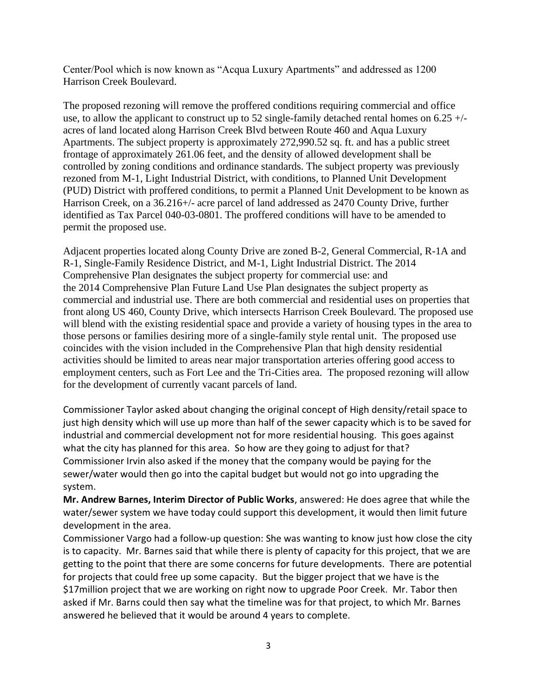Center/Pool which is now known as "Acqua Luxury Apartments" and addressed as 1200 Harrison Creek Boulevard.

The proposed rezoning will remove the proffered conditions requiring commercial and office use, to allow the applicant to construct up to 52 single-family detached rental homes on  $6.25 +/$ acres of land located along Harrison Creek Blvd between Route 460 and Aqua Luxury Apartments. The subject property is approximately 272,990.52 sq. ft. and has a public street frontage of approximately 261.06 feet, and the density of allowed development shall be controlled by zoning conditions and ordinance standards. The subject property was previously rezoned from M-1, Light Industrial District, with conditions, to Planned Unit Development (PUD) District with proffered conditions, to permit a Planned Unit Development to be known as Harrison Creek, on a 36.216+/- acre parcel of land addressed as 2470 County Drive, further identified as Tax Parcel 040-03-0801. The proffered conditions will have to be amended to permit the proposed use.

Adjacent properties located along County Drive are zoned B-2, General Commercial, R-1A and R-1, Single-Family Residence District, and M-1, Light Industrial District. The 2014 Comprehensive Plan designates the subject property for commercial use: and the 2014 Comprehensive Plan Future Land Use Plan designates the subject property as commercial and industrial use. There are both commercial and residential uses on properties that front along US 460, County Drive, which intersects Harrison Creek Boulevard. The proposed use will blend with the existing residential space and provide a variety of housing types in the area to those persons or families desiring more of a single-family style rental unit. The proposed use coincides with the vision included in the Comprehensive Plan that high density residential activities should be limited to areas near major transportation arteries offering good access to employment centers, such as Fort Lee and the Tri-Cities area. The proposed rezoning will allow for the development of currently vacant parcels of land.

Commissioner Taylor asked about changing the original concept of High density/retail space to just high density which will use up more than half of the sewer capacity which is to be saved for industrial and commercial development not for more residential housing. This goes against what the city has planned for this area. So how are they going to adjust for that? Commissioner Irvin also asked if the money that the company would be paying for the sewer/water would then go into the capital budget but would not go into upgrading the system.

**Mr. Andrew Barnes, Interim Director of Public Works**, answered: He does agree that while the water/sewer system we have today could support this development, it would then limit future development in the area.

Commissioner Vargo had a follow-up question: She was wanting to know just how close the city is to capacity. Mr. Barnes said that while there is plenty of capacity for this project, that we are getting to the point that there are some concerns for future developments. There are potential for projects that could free up some capacity. But the bigger project that we have is the \$17million project that we are working on right now to upgrade Poor Creek. Mr. Tabor then asked if Mr. Barns could then say what the timeline was for that project, to which Mr. Barnes answered he believed that it would be around 4 years to complete.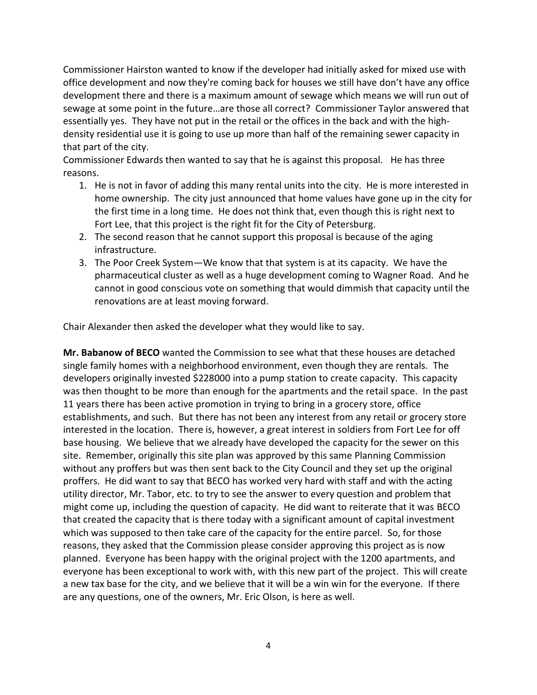Commissioner Hairston wanted to know if the developer had initially asked for mixed use with office development and now they're coming back for houses we still have don't have any office development there and there is a maximum amount of sewage which means we will run out of sewage at some point in the future…are those all correct? Commissioner Taylor answered that essentially yes. They have not put in the retail or the offices in the back and with the highdensity residential use it is going to use up more than half of the remaining sewer capacity in that part of the city.

Commissioner Edwards then wanted to say that he is against this proposal. He has three reasons.

- 1. He is not in favor of adding this many rental units into the city. He is more interested in home ownership. The city just announced that home values have gone up in the city for the first time in a long time. He does not think that, even though this is right next to Fort Lee, that this project is the right fit for the City of Petersburg.
- 2. The second reason that he cannot support this proposal is because of the aging infrastructure.
- 3. The Poor Creek System—We know that that system is at its capacity. We have the pharmaceutical cluster as well as a huge development coming to Wagner Road. And he cannot in good conscious vote on something that would dimmish that capacity until the renovations are at least moving forward.

Chair Alexander then asked the developer what they would like to say.

**Mr. Babanow of BECO** wanted the Commission to see what that these houses are detached single family homes with a neighborhood environment, even though they are rentals. The developers originally invested \$228000 into a pump station to create capacity. This capacity was then thought to be more than enough for the apartments and the retail space. In the past 11 years there has been active promotion in trying to bring in a grocery store, office establishments, and such. But there has not been any interest from any retail or grocery store interested in the location. There is, however, a great interest in soldiers from Fort Lee for off base housing. We believe that we already have developed the capacity for the sewer on this site. Remember, originally this site plan was approved by this same Planning Commission without any proffers but was then sent back to the City Council and they set up the original proffers. He did want to say that BECO has worked very hard with staff and with the acting utility director, Mr. Tabor, etc. to try to see the answer to every question and problem that might come up, including the question of capacity. He did want to reiterate that it was BECO that created the capacity that is there today with a significant amount of capital investment which was supposed to then take care of the capacity for the entire parcel. So, for those reasons, they asked that the Commission please consider approving this project as is now planned. Everyone has been happy with the original project with the 1200 apartments, and everyone has been exceptional to work with, with this new part of the project. This will create a new tax base for the city, and we believe that it will be a win win for the everyone. If there are any questions, one of the owners, Mr. Eric Olson, is here as well.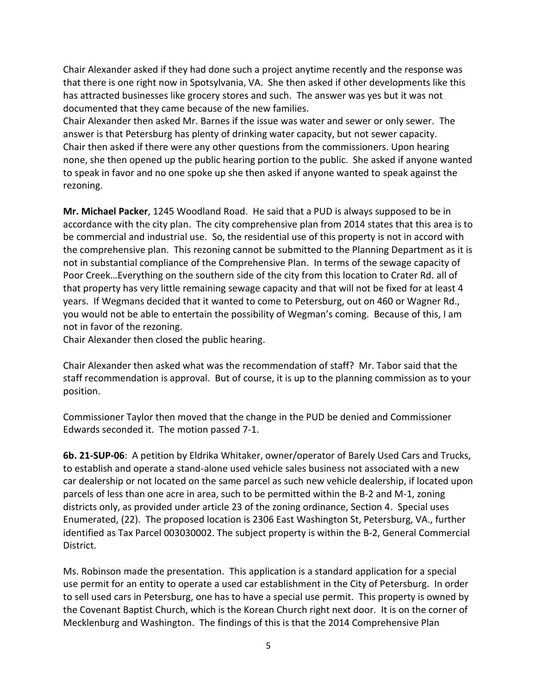Chair Alexander asked if they had done such a project anytime recently and the response was that there is one right now in Spotsylvania, VA. She then asked if other developments like this has attracted businesses like grocery stores and such. The answer was yes but it was not documented that they came because of the new families.

Chair Alexander then asked Mr. Barnes if the issue was water and sewer or only sewer. The answer is that Petersburg has plenty of drinking water capacity, but not sewer capacity. Chair then asked if there were any other questions from the commissioners. Upon hearing none, she then opened up the public hearing portion to the public. She asked if anyone wanted to speak in favor and no one spoke up she then asked if anyone wanted to speak against the rezoning.

**Mr. Michael Packer**, 1245 Woodland Road. He said that a PUD is always supposed to be in accordance with the city plan. The city comprehensive plan from 2014 states that this area is to be commercial and industrial use. So, the residential use of this property is not in accord with the comprehensive plan. This rezoning cannot be submitted to the Planning Department as it is not in substantial compliance of the Comprehensive Plan. In terms of the sewage capacity of Poor Creek…Everything on the southern side of the city from this location to Crater Rd. all of that property has very little remaining sewage capacity and that will not be fixed for at least 4 years. If Wegmans decided that it wanted to come to Petersburg, out on 460 or Wagner Rd., you would not be able to entertain the possibility of Wegman's coming. Because of this, I am not in favor of the rezoning.

Chair Alexander then closed the public hearing.

Chair Alexander then asked what was the recommendation of staff? Mr. Tabor said that the staff recommendation is approval. But of course, it is up to the planning commission as to your position.

Commissioner Taylor then moved that the change in the PUD be denied and Commissioner Edwards seconded it. The motion passed 7-1.

**6b. 21-SUP-06**: A petition by Eldrika Whitaker, owner/operator of Barely Used Cars and Trucks, to establish and operate a stand-alone used vehicle sales business not associated with a new car dealership or not located on the same parcel as such new vehicle dealership, if located upon parcels of less than one acre in area, such to be permitted within the B-2 and M-1, zoning districts only, as provided under article 23 of the zoning ordinance, Section 4. Special uses Enumerated, (22). The proposed location is 2306 East Washington St, Petersburg, VA., further identified as Tax Parcel 003030002. The subject property is within the B-2, General Commercial District.

Ms. Robinson made the presentation. This application is a standard application for a special use permit for an entity to operate a used car establishment in the City of Petersburg. In order to sell used cars in Petersburg, one has to have a special use permit. This property is owned by the Covenant Baptist Church, which is the Korean Church right next door. It is on the corner of Mecklenburg and Washington. The findings of this is that the 2014 Comprehensive Plan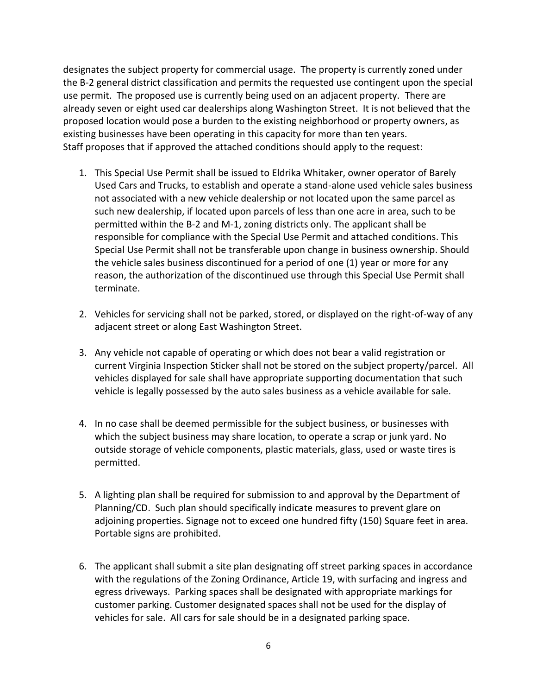designates the subject property for commercial usage. The property is currently zoned under the B-2 general district classification and permits the requested use contingent upon the special use permit. The proposed use is currently being used on an adjacent property. There are already seven or eight used car dealerships along Washington Street. It is not believed that the proposed location would pose a burden to the existing neighborhood or property owners, as existing businesses have been operating in this capacity for more than ten years. Staff proposes that if approved the attached conditions should apply to the request:

- 1. This Special Use Permit shall be issued to Eldrika Whitaker, owner operator of Barely Used Cars and Trucks, to establish and operate a stand-alone used vehicle sales business not associated with a new vehicle dealership or not located upon the same parcel as such new dealership, if located upon parcels of less than one acre in area, such to be permitted within the B-2 and M-1, zoning districts only. The applicant shall be responsible for compliance with the Special Use Permit and attached conditions. This Special Use Permit shall not be transferable upon change in business ownership. Should the vehicle sales business discontinued for a period of one (1) year or more for any reason, the authorization of the discontinued use through this Special Use Permit shall terminate.
- 2. Vehicles for servicing shall not be parked, stored, or displayed on the right-of-way of any adjacent street or along East Washington Street.
- 3. Any vehicle not capable of operating or which does not bear a valid registration or current Virginia Inspection Sticker shall not be stored on the subject property/parcel. All vehicles displayed for sale shall have appropriate supporting documentation that such vehicle is legally possessed by the auto sales business as a vehicle available for sale.
- 4. In no case shall be deemed permissible for the subject business, or businesses with which the subject business may share location, to operate a scrap or junk yard. No outside storage of vehicle components, plastic materials, glass, used or waste tires is permitted.
- 5. A lighting plan shall be required for submission to and approval by the Department of Planning/CD. Such plan should specifically indicate measures to prevent glare on adjoining properties. Signage not to exceed one hundred fifty (150) Square feet in area. Portable signs are prohibited.
- 6. The applicant shall submit a site plan designating off street parking spaces in accordance with the regulations of the Zoning Ordinance, Article 19, with surfacing and ingress and egress driveways. Parking spaces shall be designated with appropriate markings for customer parking. Customer designated spaces shall not be used for the display of vehicles for sale. All cars for sale should be in a designated parking space.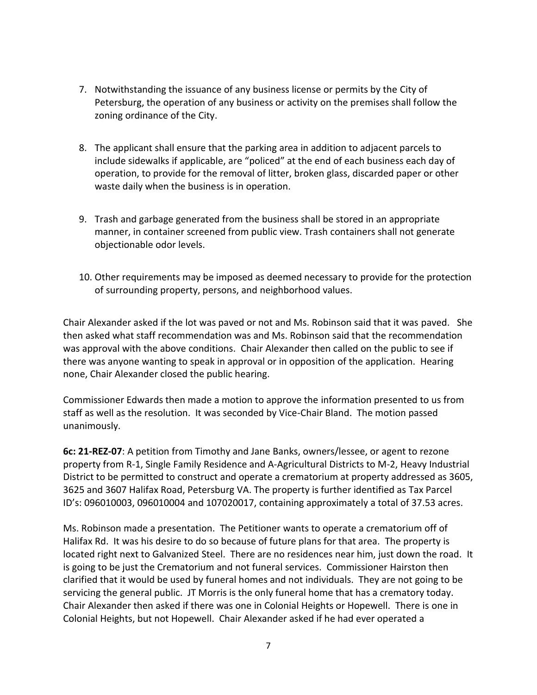- 7. Notwithstanding the issuance of any business license or permits by the City of Petersburg, the operation of any business or activity on the premises shall follow the zoning ordinance of the City.
- 8. The applicant shall ensure that the parking area in addition to adjacent parcels to include sidewalks if applicable, are "policed" at the end of each business each day of operation, to provide for the removal of litter, broken glass, discarded paper or other waste daily when the business is in operation.
- 9. Trash and garbage generated from the business shall be stored in an appropriate manner, in container screened from public view. Trash containers shall not generate objectionable odor levels.
- 10. Other requirements may be imposed as deemed necessary to provide for the protection of surrounding property, persons, and neighborhood values.

Chair Alexander asked if the lot was paved or not and Ms. Robinson said that it was paved. She then asked what staff recommendation was and Ms. Robinson said that the recommendation was approval with the above conditions. Chair Alexander then called on the public to see if there was anyone wanting to speak in approval or in opposition of the application. Hearing none, Chair Alexander closed the public hearing.

Commissioner Edwards then made a motion to approve the information presented to us from staff as well as the resolution. It was seconded by Vice-Chair Bland. The motion passed unanimously.

**6c: 21-REZ-07**: A petition from Timothy and Jane Banks, owners/lessee, or agent to rezone property from R-1, Single Family Residence and A-Agricultural Districts to M-2, Heavy Industrial District to be permitted to construct and operate a crematorium at property addressed as 3605, 3625 and 3607 Halifax Road, Petersburg VA. The property is further identified as Tax Parcel ID's: 096010003, 096010004 and 107020017, containing approximately a total of 37.53 acres.

Ms. Robinson made a presentation. The Petitioner wants to operate a crematorium off of Halifax Rd. It was his desire to do so because of future plans for that area. The property is located right next to Galvanized Steel. There are no residences near him, just down the road. It is going to be just the Crematorium and not funeral services. Commissioner Hairston then clarified that it would be used by funeral homes and not individuals. They are not going to be servicing the general public. JT Morris is the only funeral home that has a crematory today. Chair Alexander then asked if there was one in Colonial Heights or Hopewell. There is one in Colonial Heights, but not Hopewell. Chair Alexander asked if he had ever operated a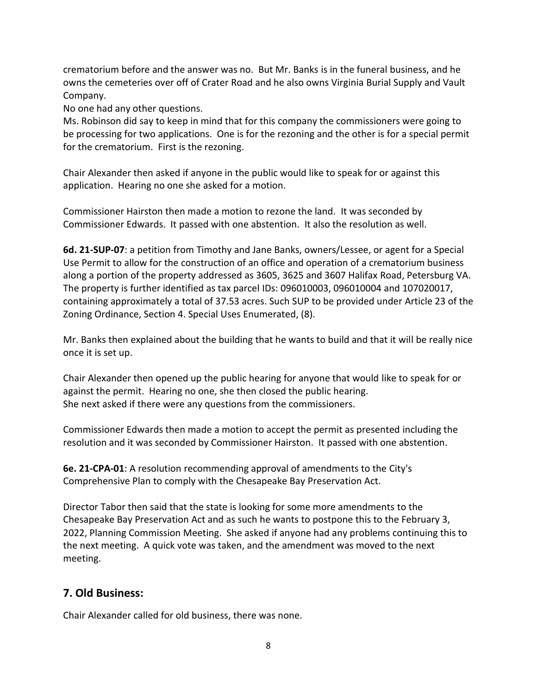crematorium before and the answer was no. But Mr. Banks is in the funeral business, and he owns the cemeteries over off of Crater Road and he also owns Virginia Burial Supply and Vault Company.

No one had any other questions.

Ms. Robinson did say to keep in mind that for this company the commissioners were going to be processing for two applications. One is for the rezoning and the other is for a special permit for the crematorium. First is the rezoning.

Chair Alexander then asked if anyone in the public would like to speak for or against this application. Hearing no one she asked for a motion.

Commissioner Hairston then made a motion to rezone the land. It was seconded by Commissioner Edwards. It passed with one abstention. It also the resolution as well.

**6d. 21-SUP-07**: a petition from Timothy and Jane Banks, owners/Lessee, or agent for a Special Use Permit to allow for the construction of an office and operation of a crematorium business along a portion of the property addressed as 3605, 3625 and 3607 Halifax Road, Petersburg VA. The property is further identified as tax parcel IDs: 096010003, 096010004 and 107020017, containing approximately a total of 37.53 acres. Such SUP to be provided under Article 23 of the Zoning Ordinance, Section 4. Special Uses Enumerated, (8).

Mr. Banks then explained about the building that he wants to build and that it will be really nice once it is set up.

Chair Alexander then opened up the public hearing for anyone that would like to speak for or against the permit. Hearing no one, she then closed the public hearing. She next asked if there were any questions from the commissioners.

Commissioner Edwards then made a motion to accept the permit as presented including the resolution and it was seconded by Commissioner Hairston. It passed with one abstention.

**6e. 21-CPA-01**: A resolution recommending approval of amendments to the City's Comprehensive Plan to comply with the Chesapeake Bay Preservation Act.

Director Tabor then said that the state is looking for some more amendments to the Chesapeake Bay Preservation Act and as such he wants to postpone this to the February 3, 2022, Planning Commission Meeting. She asked if anyone had any problems continuing this to the next meeting. A quick vote was taken, and the amendment was moved to the next meeting.

# **7. Old Business:**

Chair Alexander called for old business, there was none.